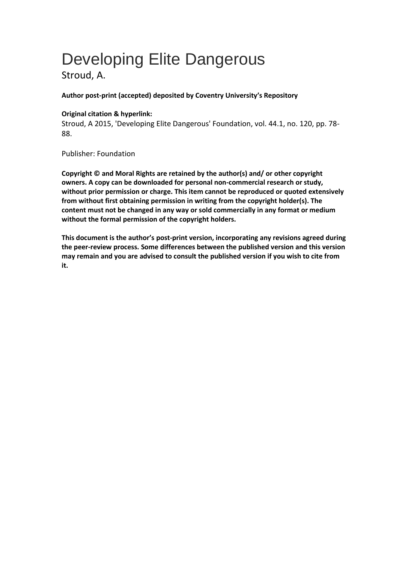# Developing Elite Dangerous

Stroud, A.

## **Author post-print (accepted) deposited by Coventry University's Repository**

## **Original citation & hyperlink:**

Stroud, A 2015, 'Developing Elite Dangerous' Foundation, vol. 44.1, no. 120, pp. 78- 88.

Publisher: Foundation

**Copyright © and Moral Rights are retained by the author(s) and/ or other copyright owners. A copy can be downloaded for personal non-commercial research or study, without prior permission or charge. This item cannot be reproduced or quoted extensively from without first obtaining permission in writing from the copyright holder(s). The content must not be changed in any way or sold commercially in any format or medium without the formal permission of the copyright holders.** 

**This document is the author's post-print version, incorporating any revisions agreed during the peer-review process. Some differences between the published version and this version may remain and you are advised to consult the published version if you wish to cite from it.**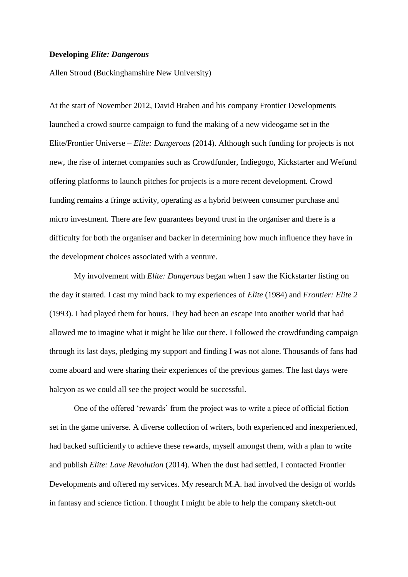#### **Developing** *Elite: Dangerous*

Allen Stroud (Buckinghamshire New University)

At the start of November 2012, David Braben and his company Frontier Developments launched a crowd source campaign to fund the making of a new videogame set in the Elite/Frontier Universe – *Elite: Dangerous* (2014). Although such funding for projects is not new, the rise of internet companies such as Crowdfunder, Indiegogo, Kickstarter and Wefund offering platforms to launch pitches for projects is a more recent development. Crowd funding remains a fringe activity, operating as a hybrid between consumer purchase and micro investment. There are few guarantees beyond trust in the organiser and there is a difficulty for both the organiser and backer in determining how much influence they have in the development choices associated with a venture.

My involvement with *Elite: Dangerous* began when I saw the Kickstarter listing on the day it started. I cast my mind back to my experiences of *Elite* (1984) and *Frontier: Elite 2*  (1993). I had played them for hours. They had been an escape into another world that had allowed me to imagine what it might be like out there. I followed the crowdfunding campaign through its last days, pledging my support and finding I was not alone. Thousands of fans had come aboard and were sharing their experiences of the previous games. The last days were halcyon as we could all see the project would be successful.

One of the offered 'rewards' from the project was to write a piece of official fiction set in the game universe. A diverse collection of writers, both experienced and inexperienced, had backed sufficiently to achieve these rewards, myself amongst them, with a plan to write and publish *Elite: Lave Revolution* (2014). When the dust had settled, I contacted Frontier Developments and offered my services. My research M.A. had involved the design of worlds in fantasy and science fiction. I thought I might be able to help the company sketch-out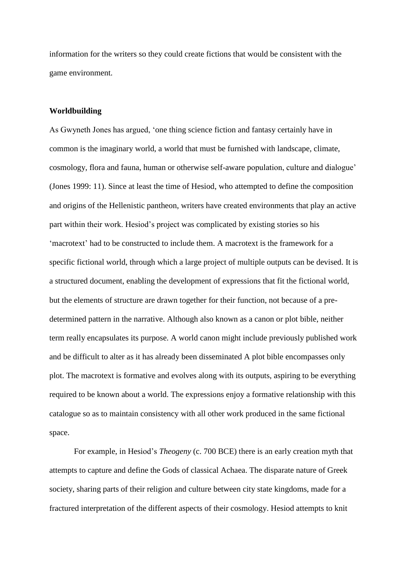information for the writers so they could create fictions that would be consistent with the game environment.

#### **Worldbuilding**

As Gwyneth Jones has argued, 'one thing science fiction and fantasy certainly have in common is the imaginary world, a world that must be furnished with landscape, climate, cosmology, flora and fauna, human or otherwise self-aware population, culture and dialogue' (Jones 1999: 11). Since at least the time of Hesiod, who attempted to define the composition and origins of the Hellenistic pantheon, writers have created environments that play an active part within their work. Hesiod's project was complicated by existing stories so his 'macrotext' had to be constructed to include them. A macrotext is the framework for a specific fictional world, through which a large project of multiple outputs can be devised. It is a structured document, enabling the development of expressions that fit the fictional world, but the elements of structure are drawn together for their function, not because of a predetermined pattern in the narrative. Although also known as a canon or plot bible, neither term really encapsulates its purpose. A world canon might include previously published work and be difficult to alter as it has already been disseminated A plot bible encompasses only plot. The macrotext is formative and evolves along with its outputs, aspiring to be everything required to be known about a world. The expressions enjoy a formative relationship with this catalogue so as to maintain consistency with all other work produced in the same fictional space.

For example, in Hesiod's *Theogeny* (c. 700 BCE) there is an early creation myth that attempts to capture and define the Gods of classical Achaea. The disparate nature of Greek society, sharing parts of their religion and culture between city state kingdoms, made for a fractured interpretation of the different aspects of their cosmology. Hesiod attempts to knit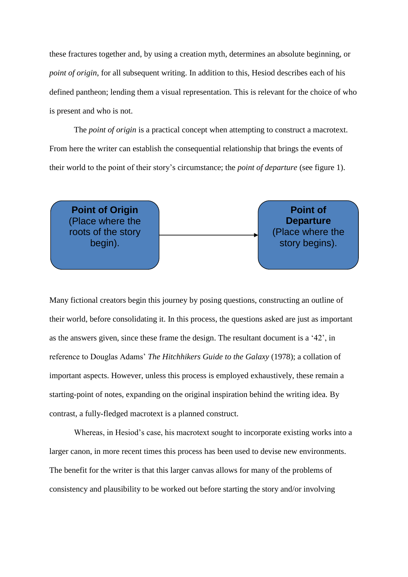these fractures together and, by using a creation myth, determines an absolute beginning, or *point of origin*, for all subsequent writing. In addition to this, Hesiod describes each of his defined pantheon; lending them a visual representation. This is relevant for the choice of who is present and who is not.

The *point of origin* is a practical concept when attempting to construct a macrotext. From here the writer can establish the consequential relationship that brings the events of their world to the point of their story's circumstance; the *point of departure* (see figure 1).

**Point of Origin** (Place where the roots of the story begin).

**Point of Departure** (Place where the story begins).

Many fictional creators begin this journey by posing questions, constructing an outline of their world, before consolidating it. In this process, the questions asked are just as important as the answers given, since these frame the design. The resultant document is a '42', in reference to Douglas Adams' *The Hitchhikers Guide to the Galaxy* (1978); a collation of important aspects. However, unless this process is employed exhaustively, these remain a starting-point of notes, expanding on the original inspiration behind the writing idea. By contrast, a fully-fledged macrotext is a planned construct.

Whereas, in Hesiod's case, his macrotext sought to incorporate existing works into a larger canon, in more recent times this process has been used to devise new environments. The benefit for the writer is that this larger canvas allows for many of the problems of consistency and plausibility to be worked out before starting the story and/or involving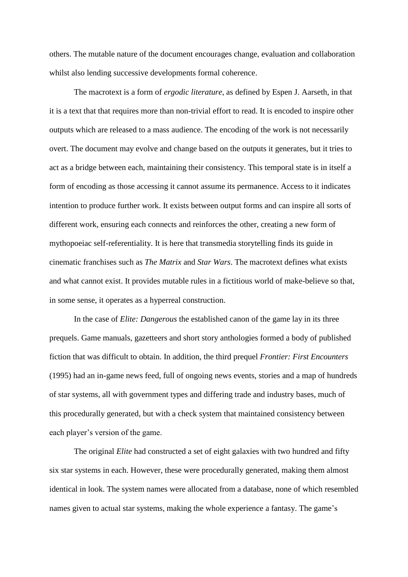others. The mutable nature of the document encourages change, evaluation and collaboration whilst also lending successive developments formal coherence.

The macrotext is a form of *ergodic literature*, as defined by Espen J. Aarseth, in that it is a text that that requires more than non-trivial effort to read. It is encoded to inspire other outputs which are released to a mass audience. The encoding of the work is not necessarily overt. The document may evolve and change based on the outputs it generates, but it tries to act as a bridge between each, maintaining their consistency. This temporal state is in itself a form of encoding as those accessing it cannot assume its permanence. Access to it indicates intention to produce further work. It exists between output forms and can inspire all sorts of different work, ensuring each connects and reinforces the other, creating a new form of mythopoeiac self-referentiality. It is here that transmedia storytelling finds its guide in cinematic franchises such as *The Matrix* and *Star Wars*. The macrotext defines what exists and what cannot exist. It provides mutable rules in a fictitious world of make-believe so that, in some sense, it operates as a hyperreal construction.

In the case of *Elite: Dangerous* the established canon of the game lay in its three prequels. Game manuals, gazetteers and short story anthologies formed a body of published fiction that was difficult to obtain. In addition, the third prequel *Frontier: First Encounters* (1995) had an in-game news feed, full of ongoing news events, stories and a map of hundreds of star systems, all with government types and differing trade and industry bases, much of this procedurally generated, but with a check system that maintained consistency between each player's version of the game.

The original *Elite* had constructed a set of eight galaxies with two hundred and fifty six star systems in each. However, these were procedurally generated, making them almost identical in look. The system names were allocated from a database, none of which resembled names given to actual star systems, making the whole experience a fantasy. The game's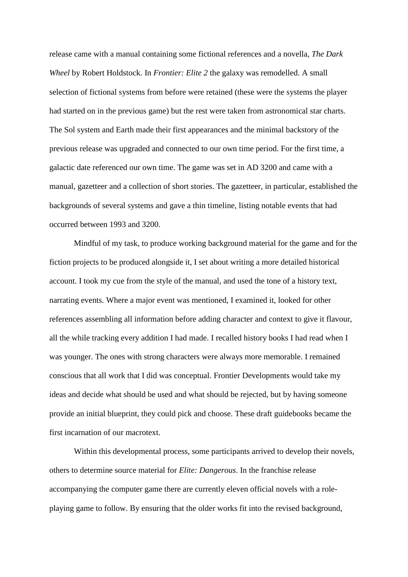release came with a manual containing some fictional references and a novella, *The Dark Wheel* by Robert Holdstock. In *Frontier: Elite 2* the galaxy was remodelled. A small selection of fictional systems from before were retained (these were the systems the player had started on in the previous game) but the rest were taken from astronomical star charts. The Sol system and Earth made their first appearances and the minimal backstory of the previous release was upgraded and connected to our own time period. For the first time, a galactic date referenced our own time. The game was set in AD 3200 and came with a manual, gazetteer and a collection of short stories. The gazetteer, in particular, established the backgrounds of several systems and gave a thin timeline, listing notable events that had occurred between 1993 and 3200.

Mindful of my task, to produce working background material for the game and for the fiction projects to be produced alongside it, I set about writing a more detailed historical account. I took my cue from the style of the manual, and used the tone of a history text, narrating events. Where a major event was mentioned, I examined it, looked for other references assembling all information before adding character and context to give it flavour, all the while tracking every addition I had made. I recalled history books I had read when I was younger. The ones with strong characters were always more memorable. I remained conscious that all work that I did was conceptual. Frontier Developments would take my ideas and decide what should be used and what should be rejected, but by having someone provide an initial blueprint, they could pick and choose. These draft guidebooks became the first incarnation of our macrotext.

Within this developmental process, some participants arrived to develop their novels, others to determine source material for *Elite: Dangerous*. In the franchise release accompanying the computer game there are currently eleven official novels with a roleplaying game to follow. By ensuring that the older works fit into the revised background,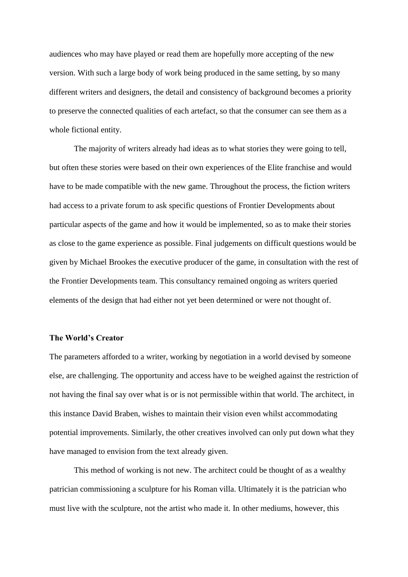audiences who may have played or read them are hopefully more accepting of the new version. With such a large body of work being produced in the same setting, by so many different writers and designers, the detail and consistency of background becomes a priority to preserve the connected qualities of each artefact, so that the consumer can see them as a whole fictional entity.

The majority of writers already had ideas as to what stories they were going to tell, but often these stories were based on their own experiences of the Elite franchise and would have to be made compatible with the new game. Throughout the process, the fiction writers had access to a private forum to ask specific questions of Frontier Developments about particular aspects of the game and how it would be implemented, so as to make their stories as close to the game experience as possible. Final judgements on difficult questions would be given by Michael Brookes the executive producer of the game, in consultation with the rest of the Frontier Developments team. This consultancy remained ongoing as writers queried elements of the design that had either not yet been determined or were not thought of.

#### **The World's Creator**

The parameters afforded to a writer, working by negotiation in a world devised by someone else, are challenging. The opportunity and access have to be weighed against the restriction of not having the final say over what is or is not permissible within that world. The architect, in this instance David Braben, wishes to maintain their vision even whilst accommodating potential improvements. Similarly, the other creatives involved can only put down what they have managed to envision from the text already given.

This method of working is not new. The architect could be thought of as a wealthy patrician commissioning a sculpture for his Roman villa. Ultimately it is the patrician who must live with the sculpture, not the artist who made it. In other mediums, however, this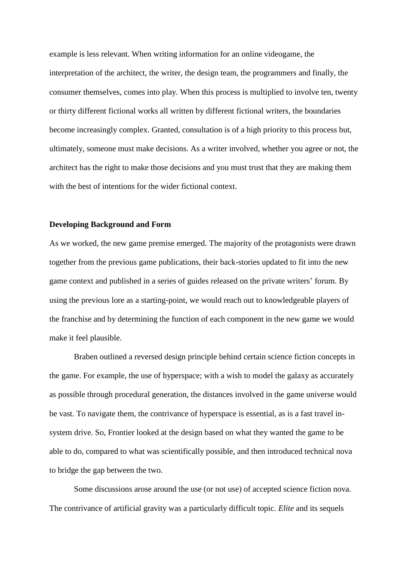example is less relevant. When writing information for an online videogame, the interpretation of the architect, the writer, the design team, the programmers and finally, the consumer themselves, comes into play. When this process is multiplied to involve ten, twenty or thirty different fictional works all written by different fictional writers, the boundaries become increasingly complex. Granted, consultation is of a high priority to this process but, ultimately, someone must make decisions. As a writer involved, whether you agree or not, the architect has the right to make those decisions and you must trust that they are making them with the best of intentions for the wider fictional context.

#### **Developing Background and Form**

As we worked, the new game premise emerged. The majority of the protagonists were drawn together from the previous game publications, their back-stories updated to fit into the new game context and published in a series of guides released on the private writers' forum. By using the previous lore as a starting-point, we would reach out to knowledgeable players of the franchise and by determining the function of each component in the new game we would make it feel plausible.

Braben outlined a reversed design principle behind certain science fiction concepts in the game. For example, the use of hyperspace; with a wish to model the galaxy as accurately as possible through procedural generation, the distances involved in the game universe would be vast. To navigate them, the contrivance of hyperspace is essential, as is a fast travel insystem drive. So, Frontier looked at the design based on what they wanted the game to be able to do, compared to what was scientifically possible, and then introduced technical nova to bridge the gap between the two.

Some discussions arose around the use (or not use) of accepted science fiction nova. The contrivance of artificial gravity was a particularly difficult topic. *Elite* and its sequels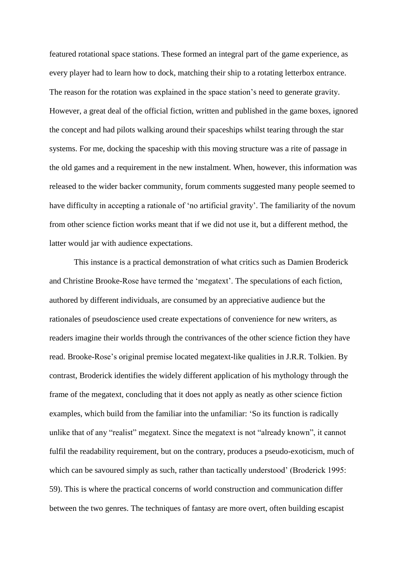featured rotational space stations. These formed an integral part of the game experience, as every player had to learn how to dock, matching their ship to a rotating letterbox entrance. The reason for the rotation was explained in the space station's need to generate gravity. However, a great deal of the official fiction, written and published in the game boxes, ignored the concept and had pilots walking around their spaceships whilst tearing through the star systems. For me, docking the spaceship with this moving structure was a rite of passage in the old games and a requirement in the new instalment. When, however, this information was released to the wider backer community, forum comments suggested many people seemed to have difficulty in accepting a rationale of 'no artificial gravity'. The familiarity of the novum from other science fiction works meant that if we did not use it, but a different method, the latter would jar with audience expectations.

This instance is a practical demonstration of what critics such as Damien Broderick and Christine Brooke-Rose have termed the 'megatext'. The speculations of each fiction, authored by different individuals, are consumed by an appreciative audience but the rationales of pseudoscience used create expectations of convenience for new writers, as readers imagine their worlds through the contrivances of the other science fiction they have read. Brooke-Rose's original premise located megatext-like qualities in J.R.R. Tolkien. By contrast, Broderick identifies the widely different application of his mythology through the frame of the megatext, concluding that it does not apply as neatly as other science fiction examples, which build from the familiar into the unfamiliar: 'So its function is radically unlike that of any "realist" megatext. Since the megatext is not "already known", it cannot fulfil the readability requirement, but on the contrary, produces a pseudo-exoticism, much of which can be savoured simply as such, rather than tactically understood' (Broderick 1995: 59). This is where the practical concerns of world construction and communication differ between the two genres. The techniques of fantasy are more overt, often building escapist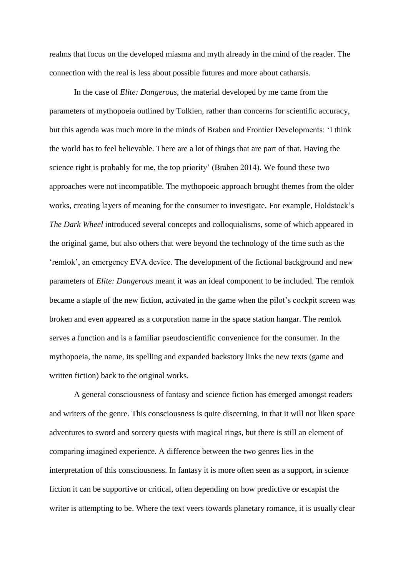realms that focus on the developed miasma and myth already in the mind of the reader. The connection with the real is less about possible futures and more about catharsis.

In the case of *Elite: Dangerous*, the material developed by me came from the parameters of mythopoeia outlined by Tolkien, rather than concerns for scientific accuracy, but this agenda was much more in the minds of Braben and Frontier Developments: 'I think the world has to feel believable. There are a lot of things that are part of that. Having the science right is probably for me, the top priority' (Braben 2014). We found these two approaches were not incompatible. The mythopoeic approach brought themes from the older works, creating layers of meaning for the consumer to investigate. For example, Holdstock's *The Dark Wheel* introduced several concepts and colloquialisms, some of which appeared in the original game, but also others that were beyond the technology of the time such as the 'remlok', an emergency EVA device. The development of the fictional background and new parameters of *Elite: Dangerous* meant it was an ideal component to be included. The remlok became a staple of the new fiction, activated in the game when the pilot's cockpit screen was broken and even appeared as a corporation name in the space station hangar. The remlok serves a function and is a familiar pseudoscientific convenience for the consumer. In the mythopoeia, the name, its spelling and expanded backstory links the new texts (game and written fiction) back to the original works.

A general consciousness of fantasy and science fiction has emerged amongst readers and writers of the genre. This consciousness is quite discerning, in that it will not liken space adventures to sword and sorcery quests with magical rings, but there is still an element of comparing imagined experience. A difference between the two genres lies in the interpretation of this consciousness. In fantasy it is more often seen as a support, in science fiction it can be supportive or critical, often depending on how predictive or escapist the writer is attempting to be. Where the text veers towards planetary romance, it is usually clear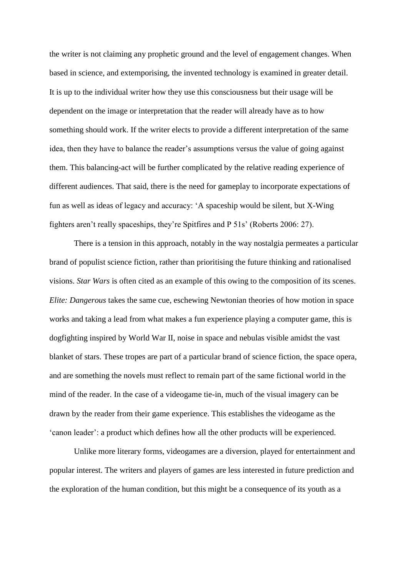the writer is not claiming any prophetic ground and the level of engagement changes. When based in science, and extemporising, the invented technology is examined in greater detail. It is up to the individual writer how they use this consciousness but their usage will be dependent on the image or interpretation that the reader will already have as to how something should work. If the writer elects to provide a different interpretation of the same idea, then they have to balance the reader's assumptions versus the value of going against them. This balancing-act will be further complicated by the relative reading experience of different audiences. That said, there is the need for gameplay to incorporate expectations of fun as well as ideas of legacy and accuracy: 'A spaceship would be silent, but X-Wing fighters aren't really spaceships, they're Spitfires and P 51s' (Roberts 2006: 27).

There is a tension in this approach, notably in the way nostalgia permeates a particular brand of populist science fiction, rather than prioritising the future thinking and rationalised visions. *Star Wars* is often cited as an example of this owing to the composition of its scenes. *Elite: Dangerous* takes the same cue, eschewing Newtonian theories of how motion in space works and taking a lead from what makes a fun experience playing a computer game, this is dogfighting inspired by World War II, noise in space and nebulas visible amidst the vast blanket of stars. These tropes are part of a particular brand of science fiction, the space opera, and are something the novels must reflect to remain part of the same fictional world in the mind of the reader. In the case of a videogame tie-in, much of the visual imagery can be drawn by the reader from their game experience. This establishes the videogame as the 'canon leader': a product which defines how all the other products will be experienced.

Unlike more literary forms, videogames are a diversion, played for entertainment and popular interest. The writers and players of games are less interested in future prediction and the exploration of the human condition, but this might be a consequence of its youth as a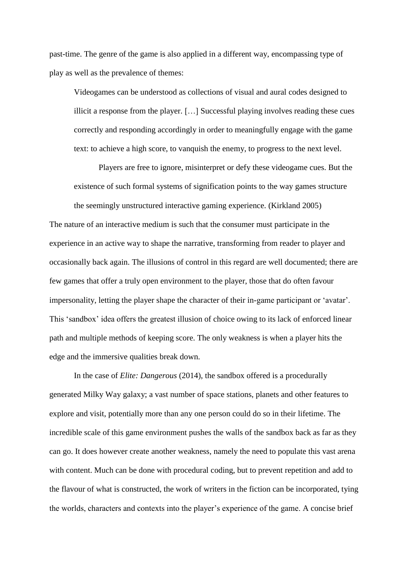past-time. The genre of the game is also applied in a different way, encompassing type of play as well as the prevalence of themes:

Videogames can be understood as collections of visual and aural codes designed to illicit a response from the player. […] Successful playing involves reading these cues correctly and responding accordingly in order to meaningfully engage with the game text: to achieve a high score, to vanquish the enemy, to progress to the next level.

Players are free to ignore, misinterpret or defy these videogame cues. But the existence of such formal systems of signification points to the way games structure the seemingly unstructured interactive gaming experience. (Kirkland 2005)

The nature of an interactive medium is such that the consumer must participate in the experience in an active way to shape the narrative, transforming from reader to player and occasionally back again. The illusions of control in this regard are well documented; there are few games that offer a truly open environment to the player, those that do often favour impersonality, letting the player shape the character of their in-game participant or 'avatar'. This 'sandbox' idea offers the greatest illusion of choice owing to its lack of enforced linear path and multiple methods of keeping score. The only weakness is when a player hits the edge and the immersive qualities break down.

In the case of *Elite: Dangerous* (2014), the sandbox offered is a procedurally generated Milky Way galaxy; a vast number of space stations, planets and other features to explore and visit, potentially more than any one person could do so in their lifetime. The incredible scale of this game environment pushes the walls of the sandbox back as far as they can go. It does however create another weakness, namely the need to populate this vast arena with content. Much can be done with procedural coding, but to prevent repetition and add to the flavour of what is constructed, the work of writers in the fiction can be incorporated, tying the worlds, characters and contexts into the player's experience of the game. A concise brief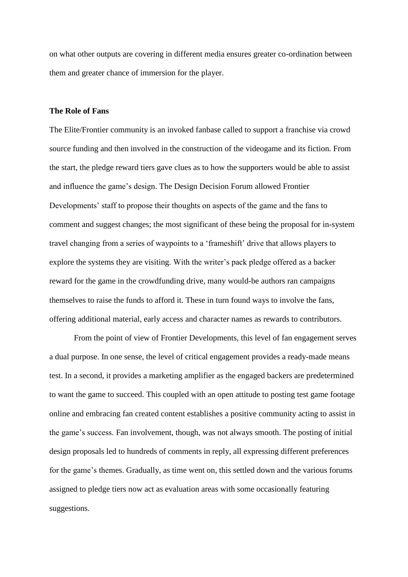on what other outputs are covering in different media ensures greater co-ordination between them and greater chance of immersion for the player.

## **The Role of Fans**

The Elite/Frontier community is an invoked fanbase called to support a franchise via crowd source funding and then involved in the construction of the videogame and its fiction. From the start, the pledge reward tiers gave clues as to how the supporters would be able to assist and influence the game's design. The Design Decision Forum allowed Frontier Developments' staff to propose their thoughts on aspects of the game and the fans to comment and suggest changes; the most significant of these being the proposal for in-system travel changing from a series of waypoints to a 'frameshift' drive that allows players to explore the systems they are visiting. With the writer's pack pledge offered as a backer reward for the game in the crowdfunding drive, many would-be authors ran campaigns themselves to raise the funds to afford it. These in turn found ways to involve the fans, offering additional material, early access and character names as rewards to contributors.

From the point of view of Frontier Developments, this level of fan engagement serves a dual purpose. In one sense, the level of critical engagement provides a ready-made means test. In a second, it provides a marketing amplifier as the engaged backers are predetermined to want the game to succeed. This coupled with an open attitude to posting test game footage online and embracing fan created content establishes a positive community acting to assist in the game's success. Fan involvement, though, was not always smooth. The posting of initial design proposals led to hundreds of comments in reply, all expressing different preferences for the game's themes. Gradually, as time went on, this settled down and the various forums assigned to pledge tiers now act as evaluation areas with some occasionally featuring suggestions.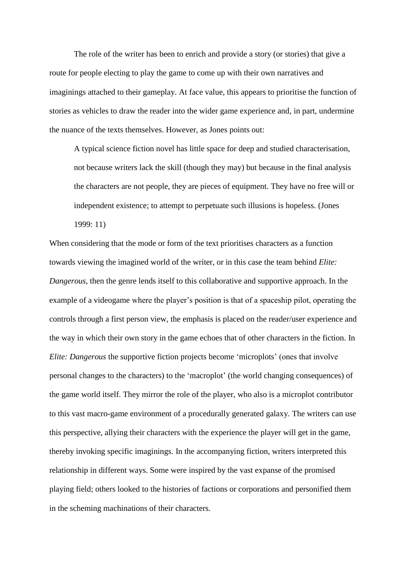The role of the writer has been to enrich and provide a story (or stories) that give a route for people electing to play the game to come up with their own narratives and imaginings attached to their gameplay. At face value, this appears to prioritise the function of stories as vehicles to draw the reader into the wider game experience and, in part, undermine the nuance of the texts themselves. However, as Jones points out:

A typical science fiction novel has little space for deep and studied characterisation, not because writers lack the skill (though they may) but because in the final analysis the characters are not people, they are pieces of equipment. They have no free will or independent existence; to attempt to perpetuate such illusions is hopeless. (Jones 1999: 11)

When considering that the mode or form of the text prioritises characters as a function towards viewing the imagined world of the writer, or in this case the team behind *Elite: Dangerous*, then the genre lends itself to this collaborative and supportive approach. In the example of a videogame where the player's position is that of a spaceship pilot, operating the controls through a first person view, the emphasis is placed on the reader/user experience and the way in which their own story in the game echoes that of other characters in the fiction. In *Elite: Dangerous* the supportive fiction projects become 'microplots' (ones that involve personal changes to the characters) to the 'macroplot' (the world changing consequences) of the game world itself. They mirror the role of the player, who also is a microplot contributor to this vast macro-game environment of a procedurally generated galaxy. The writers can use this perspective, allying their characters with the experience the player will get in the game, thereby invoking specific imaginings. In the accompanying fiction, writers interpreted this relationship in different ways. Some were inspired by the vast expanse of the promised playing field; others looked to the histories of factions or corporations and personified them in the scheming machinations of their characters.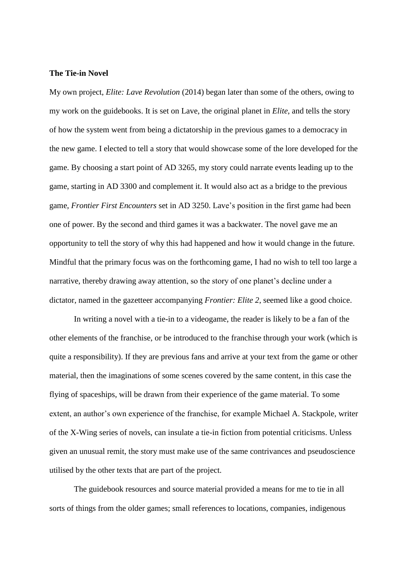#### **The Tie-in Novel**

My own project, *Elite: Lave Revolution* (2014) began later than some of the others, owing to my work on the guidebooks. It is set on Lave, the original planet in *Elite*, and tells the story of how the system went from being a dictatorship in the previous games to a democracy in the new game. I elected to tell a story that would showcase some of the lore developed for the game. By choosing a start point of AD 3265, my story could narrate events leading up to the game, starting in AD 3300 and complement it. It would also act as a bridge to the previous game, *Frontier First Encounters* set in AD 3250. Lave's position in the first game had been one of power. By the second and third games it was a backwater. The novel gave me an opportunity to tell the story of why this had happened and how it would change in the future. Mindful that the primary focus was on the forthcoming game, I had no wish to tell too large a narrative, thereby drawing away attention, so the story of one planet's decline under a dictator, named in the gazetteer accompanying *Frontier: Elite 2*, seemed like a good choice.

In writing a novel with a tie-in to a videogame, the reader is likely to be a fan of the other elements of the franchise, or be introduced to the franchise through your work (which is quite a responsibility). If they are previous fans and arrive at your text from the game or other material, then the imaginations of some scenes covered by the same content, in this case the flying of spaceships, will be drawn from their experience of the game material. To some extent, an author's own experience of the franchise, for example Michael A. Stackpole, writer of the X-Wing series of novels, can insulate a tie-in fiction from potential criticisms. Unless given an unusual remit, the story must make use of the same contrivances and pseudoscience utilised by the other texts that are part of the project.

The guidebook resources and source material provided a means for me to tie in all sorts of things from the older games; small references to locations, companies, indigenous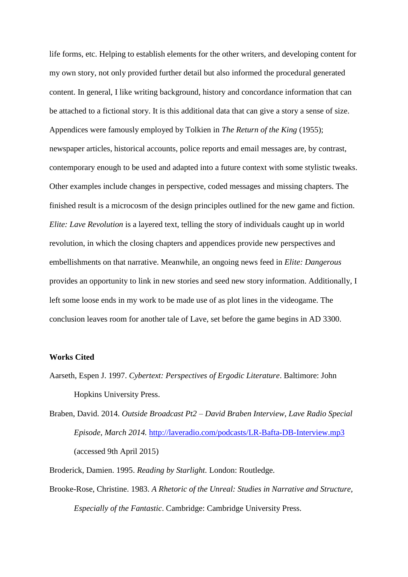life forms, etc. Helping to establish elements for the other writers, and developing content for my own story, not only provided further detail but also informed the procedural generated content. In general, I like writing background, history and concordance information that can be attached to a fictional story. It is this additional data that can give a story a sense of size. Appendices were famously employed by Tolkien in *The Return of the King* (1955); newspaper articles, historical accounts, police reports and email messages are, by contrast, contemporary enough to be used and adapted into a future context with some stylistic tweaks. Other examples include changes in perspective, coded messages and missing chapters. The finished result is a microcosm of the design principles outlined for the new game and fiction. *Elite: Lave Revolution* is a layered text, telling the story of individuals caught up in world revolution, in which the closing chapters and appendices provide new perspectives and embellishments on that narrative. Meanwhile, an ongoing news feed in *Elite: Dangerous* provides an opportunity to link in new stories and seed new story information. Additionally, I left some loose ends in my work to be made use of as plot lines in the videogame. The conclusion leaves room for another tale of Lave, set before the game begins in AD 3300.

## **Works Cited**

Aarseth, Espen J. 1997. *Cybertext: Perspectives of Ergodic Literature*. Baltimore: John Hopkins University Press.

Braben, David. 2014. *[Outside Broadcast Pt2 –](http://laveradio.com/outside-broadcast-pt2-david-braben-interview/) David Braben Interview*, *Lave Radio Special Episode, March 2014.* <http://laveradio.com/podcasts/LR-Bafta-DB-Interview.mp3> (accessed 9th April 2015)

Broderick, Damien. 1995. *Reading by Starlight.* London: Routledge.

Brooke-Rose, Christine. 1983. *A Rhetoric of the Unreal: Studies in Narrative and Structure, Especially of the Fantastic*. Cambridge: Cambridge University Press.